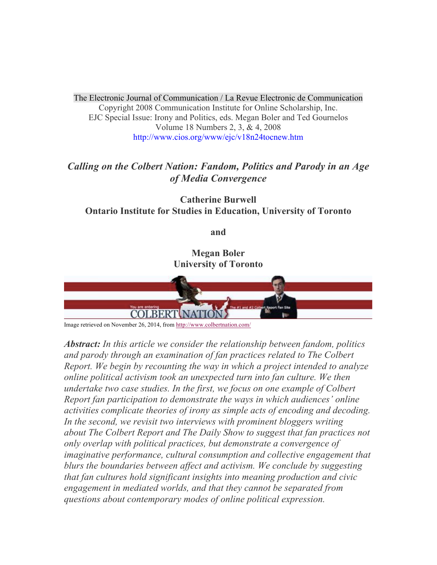The Electronic Journal of Communication / La Revue Electronic de Communication Copyright 2008 Communication Institute for Online Scholarship, Inc. EJC Special Issue: Irony and Politics, eds. Megan Boler and Ted Gournelos Volume 18 Numbers 2, 3, & 4, 2008 http://www.cios.org/www/ejc/v18n24tocnew.htm

# *Calling on the Colbert Nation: Fandom, Politics and Parody in an Age of Media Convergence*

**Catherine Burwell Ontario Institute for Studies in Education, University of Toronto**

**and**

**Megan Boler University of Toronto**



Image retrieved on November 26, 2014, from http://www.colbertnation.com/

*Abstract: In this article we consider the relationship between fandom, politics and parody through an examination of fan practices related to The Colbert Report. We begin by recounting the way in which a project intended to analyze online political activism took an unexpected turn into fan culture. We then undertake two case studies. In the first, we focus on one example of Colbert Report fan participation to demonstrate the ways in which audiences' online activities complicate theories of irony as simple acts of encoding and decoding. In the second, we revisit two interviews with prominent bloggers writing about The Colbert Report and The Daily Show to suggest that fan practices not only overlap with political practices, but demonstrate a convergence of imaginative performance, cultural consumption and collective engagement that blurs the boundaries between affect and activism. We conclude by suggesting that fan cultures hold significant insights into meaning production and civic engagement in mediated worlds, and that they cannot be separated from questions about contemporary modes of online political expression.*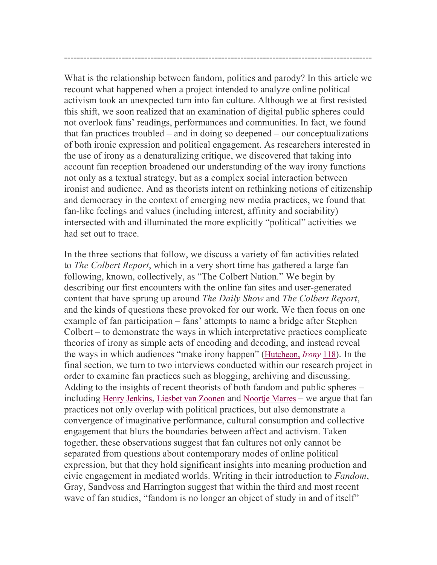What is the relationship between fandom, politics and parody? In this article we recount what happened when a project intended to analyze online political activism took an unexpected turn into fan culture. Although we at first resisted this shift, we soon realized that an examination of digital public spheres could not overlook fans' readings, performances and communities. In fact, we found that fan practices troubled – and in doing so deepened – our conceptualizations of both ironic expression and political engagement. As researchers interested in the use of irony as a denaturalizing critique, we discovered that taking into account fan reception broadened our understanding of the way irony functions not only as a textual strategy, but as a complex social interaction between ironist and audience. And as theorists intent on rethinking notions of citizenship and democracy in the context of emerging new media practices, we found that fan-like feelings and values (including interest, affinity and sociability) intersected with and illuminated the more explicitly "political" activities we had set out to trace.

------------------------------------------------------------------------------------------------

In the three sections that follow, we discuss a variety of fan activities related to *The Colbert Report*, which in a very short time has gathered a large fan following, known, collectively, as "The Colbert Nation." We begin by describing our first encounters with the online fan sites and user-generated content that have sprung up around *The Daily Show* and *The Colbert Report*, and the kinds of questions these provoked for our work. We then focus on one example of fan participation – fans' attempts to name a bridge after Stephen Colbert – to demonstrate the ways in which interpretative practices complicate theories of irony as simple acts of encoding and decoding, and instead reveal the ways in which audiences "make irony happen" (Hutcheon, *Irony* 118). In the final section, we turn to two interviews conducted within our research project in order to examine fan practices such as blogging, archiving and discussing. Adding to the insights of recent theorists of both fandom and public spheres – including Henry Jenkins, Liesbet van Zoonen and Noortje Marres – we argue that fan practices not only overlap with political practices, but also demonstrate a convergence of imaginative performance, cultural consumption and collective engagement that blurs the boundaries between affect and activism. Taken together, these observations suggest that fan cultures not only cannot be separated from questions about contemporary modes of online political expression, but that they hold significant insights into meaning production and civic engagement in mediated worlds. Writing in their introduction to *Fandom*, Gray, Sandvoss and Harrington suggest that within the third and most recent wave of fan studies, "fandom is no longer an object of study in and of itself"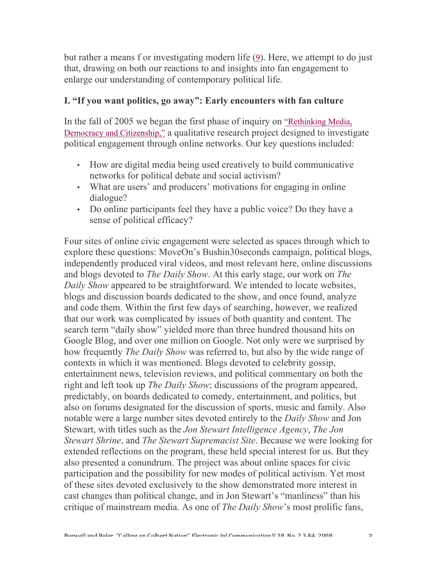but rather a means f or investigating modern life (9). Here, we attempt to do just that, drawing on both our reactions to and insights into fan engagement to enlarge our understanding of contemporary political life.

## **I. "If you want politics, go away": Early encounters with fan culture**

In the fall of 2005 we began the first phase of inquiry on "Rethinking Media, Democracy and Citizenship," a qualitative research project designed to investigate political engagement through online networks. Our key questions included:

- How are digital media being used creatively to build communicative networks for political debate and social activism?
- What are users' and producers' motivations for engaging in online dialogue?
- Do online participants feel they have a public voice? Do they have a sense of political efficacy?

Four sites of online civic engagement were selected as spaces through which to explore these questions: MoveOn's Bushin30seconds campaign, political blogs, independently produced viral videos, and most relevant here, online discussions and blogs devoted to *The Daily Show*. At this early stage, our work on *The Daily Show* appeared to be straightforward. We intended to locate websites, blogs and discussion boards dedicated to the show, and once found, analyze and code them. Within the first few days of searching, however, we realized that our work was complicated by issues of both quantity and content. The search term "daily show" yielded more than three hundred thousand hits on Google Blog, and over one million on Google. Not only were we surprised by how frequently *The Daily Show* was referred to, but also by the wide range of contexts in which it was mentioned. Blogs devoted to celebrity gossip, entertainment news, television reviews, and political commentary on both the right and left took up *The Daily Show*; discussions of the program appeared, predictably, on boards dedicated to comedy, entertainment, and politics, but also on forums designated for the discussion of sports, music and family. Also notable were a large number sites devoted entirely to the *Daily Show* and Jon Stewart, with titles such as the *Jon Stewart Intelligence Agency*, *The Jon Stewart Shrine*, and *The Stewart Supremacist Site*. Because we were looking for extended reflections on the program, these held special interest for us. But they also presented a conundrum. The project was about online spaces for civic participation and the possibility for new modes of political activism. Yet most of these sites devoted exclusively to the show demonstrated more interest in cast changes than political change, and in Jon Stewart's "manliness" than his critique of mainstream media. As one of *The Daily Show*'s most prolific fans,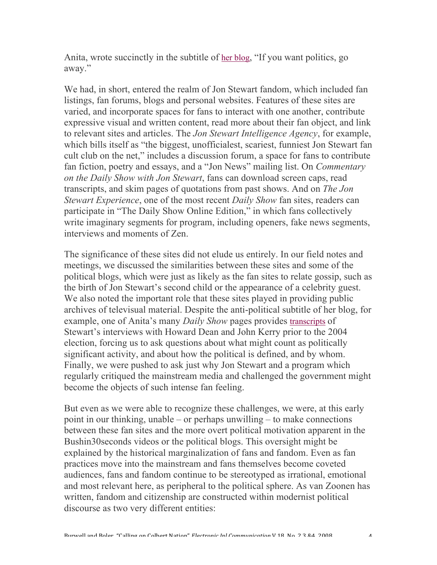Anita, wrote succinctly in the subtitle of her blog, "If you want politics, go away."

We had, in short, entered the realm of Jon Stewart fandom, which included fan listings, fan forums, blogs and personal websites. Features of these sites are varied, and incorporate spaces for fans to interact with one another, contribute expressive visual and written content, read more about their fan object, and link to relevant sites and articles. The *Jon Stewart Intelligence Agency*, for example, which bills itself as "the biggest, unofficialest, scariest, funniest Jon Stewart fan cult club on the net," includes a discussion forum, a space for fans to contribute fan fiction, poetry and essays, and a "Jon News" mailing list. On *Commentary on the Daily Show with Jon Stewart*, fans can download screen caps, read transcripts, and skim pages of quotations from past shows. And on *The Jon Stewart Experience*, one of the most recent *Daily Show* fan sites, readers can participate in "The Daily Show Online Edition," in which fans collectively write imaginary segments for program, including openers, fake news segments, interviews and moments of Zen.

The significance of these sites did not elude us entirely. In our field notes and meetings, we discussed the similarities between these sites and some of the political blogs, which were just as likely as the fan sites to relate gossip, such as the birth of Jon Stewart's second child or the appearance of a celebrity guest. We also noted the important role that these sites played in providing public archives of televisual material. Despite the anti-political subtitle of her blog, for example, one of Anita's many *Daily Show* pages provides transcripts of Stewart's interviews with Howard Dean and John Kerry prior to the 2004 election, forcing us to ask questions about what might count as politically significant activity, and about how the political is defined, and by whom. Finally, we were pushed to ask just why Jon Stewart and a program which regularly critiqued the mainstream media and challenged the government might become the objects of such intense fan feeling.

But even as we were able to recognize these challenges, we were, at this early point in our thinking, unable – or perhaps unwilling – to make connections between these fan sites and the more overt political motivation apparent in the Bushin30seconds videos or the political blogs. This oversight might be explained by the historical marginalization of fans and fandom. Even as fan practices move into the mainstream and fans themselves become coveted audiences, fans and fandom continue to be stereotyped as irrational, emotional and most relevant here, as peripheral to the political sphere. As van Zoonen has written, fandom and citizenship are constructed within modernist political discourse as two very different entities: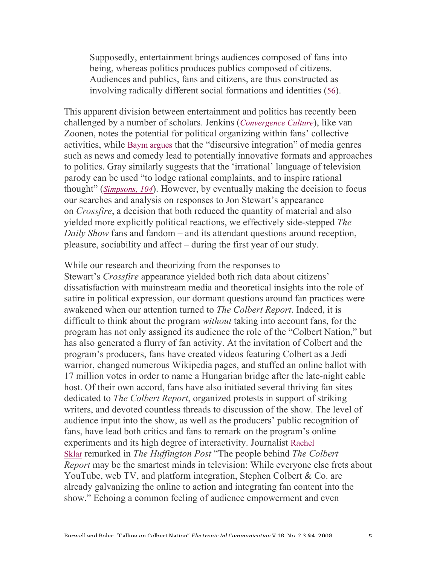Supposedly, entertainment brings audiences composed of fans into being, whereas politics produces publics composed of citizens. Audiences and publics, fans and citizens, are thus constructed as involving radically different social formations and identities (56).

This apparent division between entertainment and politics has recently been challenged by a number of scholars. Jenkins (*Convergence Culture*), like van Zoonen, notes the potential for political organizing within fans' collective activities, while Baym argues that the "discursive integration" of media genres such as news and comedy lead to potentially innovative formats and approaches to politics. Gray similarly suggests that the 'irrational' language of television parody can be used "to lodge rational complaints, and to inspire rational thought" (*Simpsons, 104*). However, by eventually making the decision to focus our searches and analysis on responses to Jon Stewart's appearance on *Crossfire*, a decision that both reduced the quantity of material and also yielded more explicitly political reactions, we effectively side-stepped *The Daily Show* fans and fandom – and its attendant questions around reception, pleasure, sociability and affect – during the first year of our study.

While our research and theorizing from the responses to Stewart's *Crossfire* appearance yielded both rich data about citizens' dissatisfaction with mainstream media and theoretical insights into the role of satire in political expression, our dormant questions around fan practices were awakened when our attention turned to *The Colbert Report*. Indeed, it is difficult to think about the program *without* taking into account fans, for the program has not only assigned its audience the role of the "Colbert Nation," but has also generated a flurry of fan activity. At the invitation of Colbert and the program's producers, fans have created videos featuring Colbert as a Jedi warrior, changed numerous Wikipedia pages, and stuffed an online ballot with 17 million votes in order to name a Hungarian bridge after the late-night cable host. Of their own accord, fans have also initiated several thriving fan sites dedicated to *The Colbert Report*, organized protests in support of striking writers, and devoted countless threads to discussion of the show. The level of audience input into the show, as well as the producers' public recognition of fans, have lead both critics and fans to remark on the program's online experiments and its high degree of interactivity. Journalist Rachel Sklar remarked in *The Huffington Post* "The people behind *The Colbert Report* may be the smartest minds in television: While everyone else frets about YouTube, web TV, and platform integration, Stephen Colbert & Co. are already galvanizing the online to action and integrating fan content into the show." Echoing a common feeling of audience empowerment and even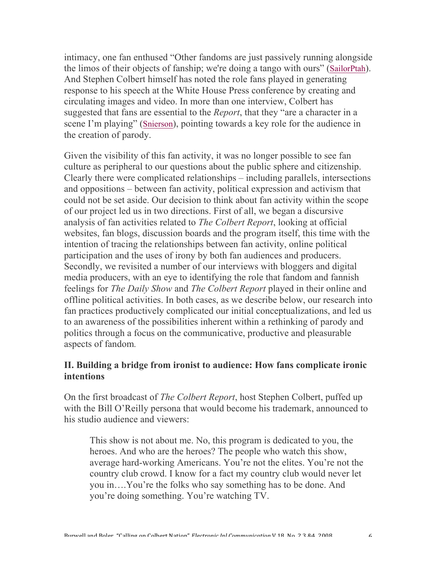intimacy, one fan enthused "Other fandoms are just passively running alongside the limos of their objects of fanship; we're doing a tango with ours" (SailorPtah). And Stephen Colbert himself has noted the role fans played in generating response to his speech at the White House Press conference by creating and circulating images and video. In more than one interview, Colbert has suggested that fans are essential to the *Report*, that they "are a character in a scene I'm playing" (Snierson), pointing towards a key role for the audience in the creation of parody.

Given the visibility of this fan activity, it was no longer possible to see fan culture as peripheral to our questions about the public sphere and citizenship. Clearly there were complicated relationships – including parallels, intersections and oppositions – between fan activity, political expression and activism that could not be set aside. Our decision to think about fan activity within the scope of our project led us in two directions. First of all, we began a discursive analysis of fan activities related to *The Colbert Report*, looking at official websites, fan blogs, discussion boards and the program itself, this time with the intention of tracing the relationships between fan activity, online political participation and the uses of irony by both fan audiences and producers. Secondly, we revisited a number of our interviews with bloggers and digital media producers, with an eye to identifying the role that fandom and fannish feelings for *The Daily Show* and *The Colbert Report* played in their online and offline political activities. In both cases, as we describe below, our research into fan practices productively complicated our initial conceptualizations, and led us to an awareness of the possibilities inherent within a rethinking of parody and politics through a focus on the communicative, productive and pleasurable aspects of fandom*.*

## **II. Building a bridge from ironist to audience: How fans complicate ironic intentions**

On the first broadcast of *The Colbert Report*, host Stephen Colbert, puffed up with the Bill O'Reilly persona that would become his trademark, announced to his studio audience and viewers:

This show is not about me. No, this program is dedicated to you, the heroes. And who are the heroes? The people who watch this show, average hard-working Americans. You're not the elites. You're not the country club crowd. I know for a fact my country club would never let you in….You're the folks who say something has to be done. And you're doing something. You're watching TV.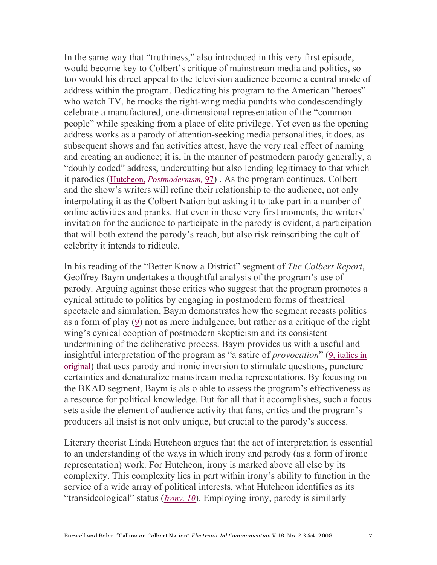In the same way that "truthiness," also introduced in this very first episode, would become key to Colbert's critique of mainstream media and politics, so too would his direct appeal to the television audience become a central mode of address within the program. Dedicating his program to the American "heroes" who watch TV, he mocks the right-wing media pundits who condescendingly celebrate a manufactured, one-dimensional representation of the "common people" while speaking from a place of elite privilege. Yet even as the opening address works as a parody of attention-seeking media personalities, it does, as subsequent shows and fan activities attest, have the very real effect of naming and creating an audience; it is, in the manner of postmodern parody generally, a "doubly coded" address, undercutting but also lending legitimacy to that which it parodies (Hutcheon, *Postmodernism,* 97) . As the program continues, Colbert and the show's writers will refine their relationship to the audience, not only interpolating it as the Colbert Nation but asking it to take part in a number of online activities and pranks. But even in these very first moments, the writers' invitation for the audience to participate in the parody is evident, a participation that will both extend the parody's reach, but also risk reinscribing the cult of celebrity it intends to ridicule.

In his reading of the "Better Know a District" segment of *The Colbert Report*, Geoffrey Baym undertakes a thoughtful analysis of the program's use of parody. Arguing against those critics who suggest that the program promotes a cynical attitude to politics by engaging in postmodern forms of theatrical spectacle and simulation, Baym demonstrates how the segment recasts politics as a form of play (9) not as mere indulgence, but rather as a critique of the right wing's cynical cooption of postmodern skepticism and its consistent undermining of the deliberative process. Baym provides us with a useful and insightful interpretation of the program as "a satire of *provocation*" (9, italics in original) that uses parody and ironic inversion to stimulate questions, puncture certainties and denaturalize mainstream media representations. By focusing on the BKAD segment, Baym is als o able to assess the program's effectiveness as a resource for political knowledge. But for all that it accomplishes, such a focus sets aside the element of audience activity that fans, critics and the program's producers all insist is not only unique, but crucial to the parody's success.

Literary theorist Linda Hutcheon argues that the act of interpretation is essential to an understanding of the ways in which irony and parody (as a form of ironic representation) work. For Hutcheon, irony is marked above all else by its complexity. This complexity lies in part within irony's ability to function in the service of a wide array of political interests, what Hutcheon identifies as its "transideological" status (*Irony, 10*). Employing irony, parody is similarly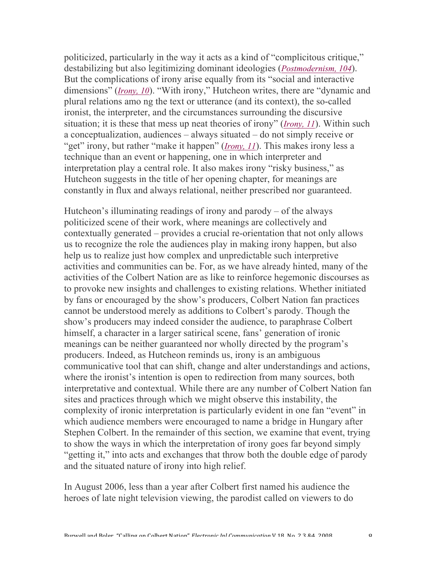politicized, particularly in the way it acts as a kind of "complicitous critique," destabilizing but also legitimizing dominant ideologies (*Postmodernism, 104*). But the complications of irony arise equally from its "social and interactive dimensions" (*Irony, 10*). "With irony," Hutcheon writes, there are "dynamic and plural relations amo ng the text or utterance (and its context), the so-called ironist, the interpreter, and the circumstances surrounding the discursive situation; it is these that mess up neat theories of irony" (*Irony, 11*). Within such a conceptualization, audiences – always situated – do not simply receive or "get" irony, but rather "make it happen" (*Irony, 11*). This makes irony less a technique than an event or happening, one in which interpreter and interpretation play a central role. It also makes irony "risky business," as Hutcheon suggests in the title of her opening chapter, for meanings are constantly in flux and always relational, neither prescribed nor guaranteed.

Hutcheon's illuminating readings of irony and parody – of the always politicized scene of their work, where meanings are collectively and contextually generated – provides a crucial re-orientation that not only allows us to recognize the role the audiences play in making irony happen, but also help us to realize just how complex and unpredictable such interpretive activities and communities can be. For, as we have already hinted, many of the activities of the Colbert Nation are as like to reinforce hegemonic discourses as to provoke new insights and challenges to existing relations. Whether initiated by fans or encouraged by the show's producers, Colbert Nation fan practices cannot be understood merely as additions to Colbert's parody. Though the show's producers may indeed consider the audience, to paraphrase Colbert himself, a character in a larger satirical scene, fans' generation of ironic meanings can be neither guaranteed nor wholly directed by the program's producers. Indeed, as Hutcheon reminds us, irony is an ambiguous communicative tool that can shift, change and alter understandings and actions, where the ironist's intention is open to redirection from many sources, both interpretative and contextual. While there are any number of Colbert Nation fan sites and practices through which we might observe this instability, the complexity of ironic interpretation is particularly evident in one fan "event" in which audience members were encouraged to name a bridge in Hungary after Stephen Colbert. In the remainder of this section, we examine that event, trying to show the ways in which the interpretation of irony goes far beyond simply "getting it," into acts and exchanges that throw both the double edge of parody and the situated nature of irony into high relief.

In August 2006, less than a year after Colbert first named his audience the heroes of late night television viewing, the parodist called on viewers to do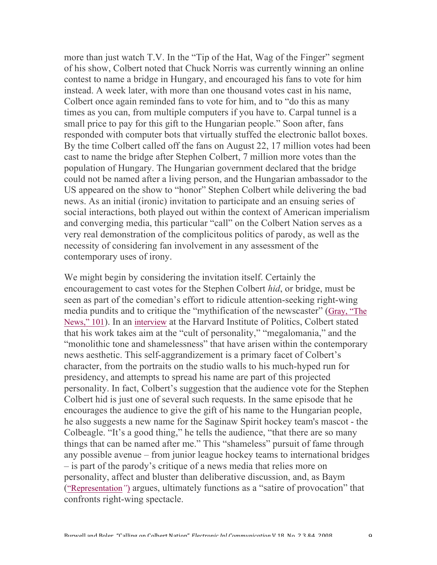more than just watch T.V. In the "Tip of the Hat, Wag of the Finger" segment of his show, Colbert noted that Chuck Norris was currently winning an online contest to name a bridge in Hungary, and encouraged his fans to vote for him instead. A week later, with more than one thousand votes cast in his name, Colbert once again reminded fans to vote for him, and to "do this as many times as you can, from multiple computers if you have to. Carpal tunnel is a small price to pay for this gift to the Hungarian people." Soon after, fans responded with computer bots that virtually stuffed the electronic ballot boxes. By the time Colbert called off the fans on August 22, 17 million votes had been cast to name the bridge after Stephen Colbert, 7 million more votes than the population of Hungary. The Hungarian government declared that the bridge could not be named after a living person, and the Hungarian ambassador to the US appeared on the show to "honor" Stephen Colbert while delivering the bad news. As an initial (ironic) invitation to participate and an ensuing series of social interactions, both played out within the context of American imperialism and converging media, this particular "call" on the Colbert Nation serves as a very real demonstration of the complicitous politics of parody, as well as the necessity of considering fan involvement in any assessment of the contemporary uses of irony.

We might begin by considering the invitation itself. Certainly the encouragement to cast votes for the Stephen Colbert *hid*, or bridge, must be seen as part of the comedian's effort to ridicule attention-seeking right-wing media pundits and to critique the "mythification of the newscaster" (Gray, "The News," 101). In an interview at the Harvard Institute of Politics, Colbert stated that his work takes aim at the "cult of personality," "megalomania," and the "monolithic tone and shamelessness" that have arisen within the contemporary news aesthetic. This self-aggrandizement is a primary facet of Colbert's character, from the portraits on the studio walls to his much-hyped run for presidency, and attempts to spread his name are part of this projected personality. In fact, Colbert's suggestion that the audience vote for the Stephen Colbert hid is just one of several such requests. In the same episode that he encourages the audience to give the gift of his name to the Hungarian people, he also suggests a new name for the Saginaw Spirit hockey team's mascot - the Colbeagle. "It's a good thing," he tells the audience, "that there are so many things that can be named after me." This "shameless" pursuit of fame through any possible avenue – from junior league hockey teams to international bridges – is part of the parody's critique of a news media that relies more on personality, affect and bluster than deliberative discussion, and, as Baym ("Representation*"*) argues, ultimately functions as a "satire of provocation" that confronts right-wing spectacle.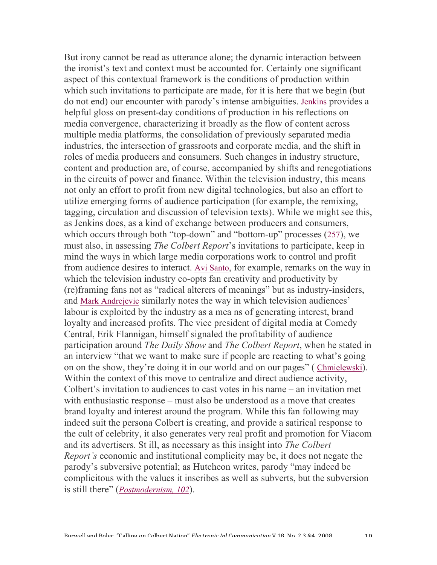But irony cannot be read as utterance alone; the dynamic interaction between the ironist's text and context must be accounted for. Certainly one significant aspect of this contextual framework is the conditions of production within which such invitations to participate are made, for it is here that we begin (but do not end) our encounter with parody's intense ambiguities. Jenkins provides a helpful gloss on present-day conditions of production in his reflections on media convergence, characterizing it broadly as the flow of content across multiple media platforms, the consolidation of previously separated media industries, the intersection of grassroots and corporate media, and the shift in roles of media producers and consumers. Such changes in industry structure, content and production are, of course, accompanied by shifts and renegotiations in the circuits of power and finance. Within the television industry, this means not only an effort to profit from new digital technologies, but also an effort to utilize emerging forms of audience participation (for example, the remixing, tagging, circulation and discussion of television texts). While we might see this, as Jenkins does, as a kind of exchange between producers and consumers, which occurs through both "top-down" and "bottom-up" processes (257), we must also, in assessing *The Colbert Report*'s invitations to participate, keep in mind the ways in which large media corporations work to control and profit from audience desires to interact. Avi Santo, for example, remarks on the way in which the television industry co-opts fan creativity and productivity by (re)framing fans not as "radical alterers of meanings" but as industry-insiders, and Mark Andrejevic similarly notes the way in which television audiences' labour is exploited by the industry as a mea ns of generating interest, brand loyalty and increased profits. The vice president of digital media at Comedy Central, Erik Flannigan, himself signaled the profitability of audience participation around *The Daily Show* and *The Colbert Report*, when he stated in an interview "that we want to make sure if people are reacting to what's going on on the show, they're doing it in our world and on our pages" ( Chmielewski). Within the context of this move to centralize and direct audience activity, Colbert's invitation to audiences to cast votes in his name – an invitation met with enthusiastic response – must also be understood as a move that creates brand loyalty and interest around the program. While this fan following may indeed suit the persona Colbert is creating, and provide a satirical response to the cult of celebrity, it also generates very real profit and promotion for Viacom and its advertisers. St ill, as necessary as this insight into *The Colbert Report's* economic and institutional complicity may be, it does not negate the parody's subversive potential; as Hutcheon writes, parody "may indeed be complicitous with the values it inscribes as well as subverts, but the subversion is still there" (*Postmodernism, 102*).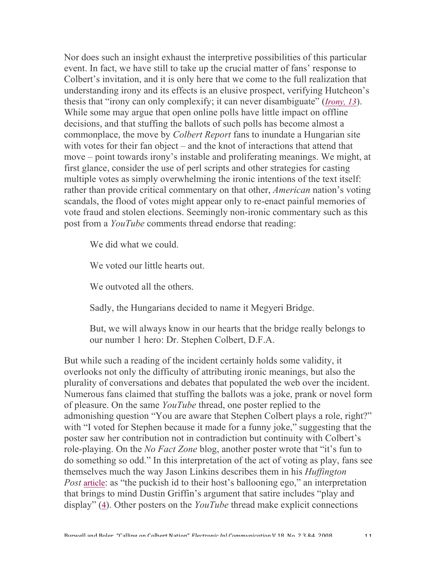Nor does such an insight exhaust the interpretive possibilities of this particular event. In fact, we have still to take up the crucial matter of fans' response to Colbert's invitation, and it is only here that we come to the full realization that understanding irony and its effects is an elusive prospect, verifying Hutcheon's thesis that "irony can only complexify; it can never disambiguate" (*Irony, 13*). While some may argue that open online polls have little impact on offline decisions, and that stuffing the ballots of such polls has become almost a commonplace, the move by *Colbert Report* fans to inundate a Hungarian site with votes for their fan object – and the knot of interactions that attend that move – point towards irony's instable and proliferating meanings. We might, at first glance, consider the use of perl scripts and other strategies for casting multiple votes as simply overwhelming the ironic intentions of the text itself: rather than provide critical commentary on that other, *American* nation's voting scandals, the flood of votes might appear only to re-enact painful memories of vote fraud and stolen elections. Seemingly non-ironic commentary such as this post from a *YouTube* comments thread endorse that reading:

We did what we could.

We voted our little hearts out.

We outvoted all the others.

Sadly, the Hungarians decided to name it Megyeri Bridge.

But, we will always know in our hearts that the bridge really belongs to our number 1 hero: Dr. Stephen Colbert, D.F.A.

But while such a reading of the incident certainly holds some validity, it overlooks not only the difficulty of attributing ironic meanings, but also the plurality of conversations and debates that populated the web over the incident. Numerous fans claimed that stuffing the ballots was a joke, prank or novel form of pleasure. On the same *YouTube* thread, one poster replied to the admonishing question "You are aware that Stephen Colbert plays a role, right?" with "I voted for Stephen because it made for a funny joke," suggesting that the poster saw her contribution not in contradiction but continuity with Colbert's role-playing. On the *No Fact Zone* blog, another poster wrote that "it's fun to do something so odd." In this interpretation of the act of voting as play, fans see themselves much the way Jason Linkins describes them in his *Huffington Post* article: as "the puckish id to their host's ballooning ego," an interpretation that brings to mind Dustin Griffin's argument that satire includes "play and display" (4). Other posters on the *YouTube* thread make explicit connections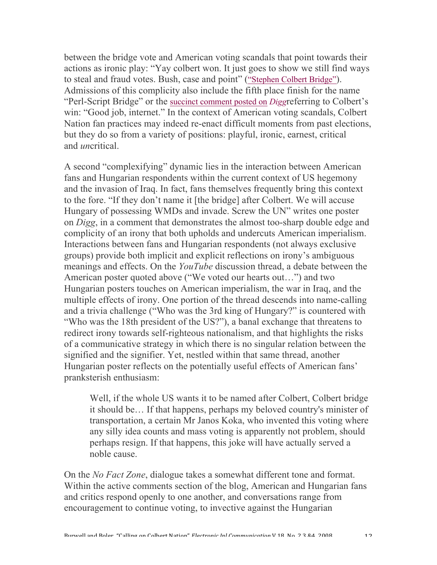between the bridge vote and American voting scandals that point towards their actions as ironic play: "Yay colbert won. It just goes to show we still find ways to steal and fraud votes. Bush, case and point" ("Stephen Colbert Bridge"). Admissions of this complicity also include the fifth place finish for the name "Perl-Script Bridge" or the succinct comment posted on *Digg*referring to Colbert's win: "Good job, internet." In the context of American voting scandals, Colbert Nation fan practices may indeed re-enact difficult moments from past elections, but they do so from a variety of positions: playful, ironic, earnest, critical and *un*critical.

A second "complexifying" dynamic lies in the interaction between American fans and Hungarian respondents within the current context of US hegemony and the invasion of Iraq. In fact, fans themselves frequently bring this context to the fore. "If they don't name it [the bridge] after Colbert. We will accuse Hungary of possessing WMDs and invade. Screw the UN" writes one poster on *Digg*, in a comment that demonstrates the almost too-sharp double edge and complicity of an irony that both upholds and undercuts American imperialism. Interactions between fans and Hungarian respondents (not always exclusive groups) provide both implicit and explicit reflections on irony's ambiguous meanings and effects. On the *YouTube* discussion thread, a debate between the American poster quoted above ("We voted our hearts out…") and two Hungarian posters touches on American imperialism, the war in Iraq, and the multiple effects of irony. One portion of the thread descends into name-calling and a trivia challenge ("Who was the 3rd king of Hungary?" is countered with "Who was the 18th president of the US?"), a banal exchange that threatens to redirect irony towards self-righteous nationalism, and that highlights the risks of a communicative strategy in which there is no singular relation between the signified and the signifier. Yet, nestled within that same thread, another Hungarian poster reflects on the potentially useful effects of American fans' pranksterish enthusiasm:

Well, if the whole US wants it to be named after Colbert, Colbert bridge it should be… If that happens, perhaps my beloved country's minister of transportation, a certain Mr Janos Koka, who invented this voting where any silly idea counts and mass voting is apparently not problem, should perhaps resign. If that happens, this joke will have actually served a noble cause.

On the *No Fact Zone*, dialogue takes a somewhat different tone and format. Within the active comments section of the blog, American and Hungarian fans and critics respond openly to one another, and conversations range from encouragement to continue voting, to invective against the Hungarian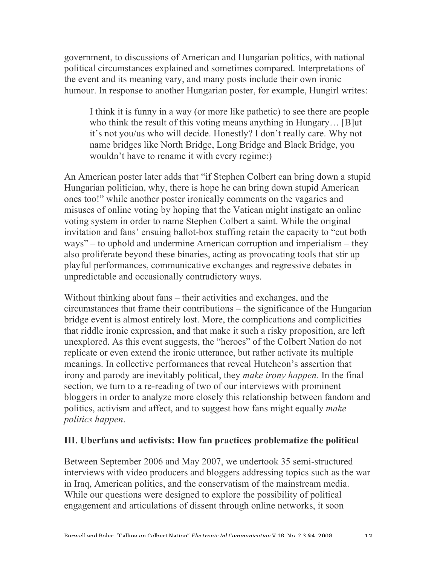government, to discussions of American and Hungarian politics, with national political circumstances explained and sometimes compared. Interpretations of the event and its meaning vary, and many posts include their own ironic humour. In response to another Hungarian poster, for example, Hungirl writes:

I think it is funny in a way (or more like pathetic) to see there are people who think the result of this voting means anything in Hungary… [B]ut it's not you/us who will decide. Honestly? I don't really care. Why not name bridges like North Bridge, Long Bridge and Black Bridge, you wouldn't have to rename it with every regime:)

An American poster later adds that "if Stephen Colbert can bring down a stupid Hungarian politician, why, there is hope he can bring down stupid American ones too!" while another poster ironically comments on the vagaries and misuses of online voting by hoping that the Vatican might instigate an online voting system in order to name Stephen Colbert a saint. While the original invitation and fans' ensuing ballot-box stuffing retain the capacity to "cut both ways" – to uphold and undermine American corruption and imperialism – they also proliferate beyond these binaries, acting as provocating tools that stir up playful performances, communicative exchanges and regressive debates in unpredictable and occasionally contradictory ways.

Without thinking about fans – their activities and exchanges, and the circumstances that frame their contributions – the significance of the Hungarian bridge event is almost entirely lost. More, the complications and complicities that riddle ironic expression, and that make it such a risky proposition, are left unexplored. As this event suggests, the "heroes" of the Colbert Nation do not replicate or even extend the ironic utterance, but rather activate its multiple meanings. In collective performances that reveal Hutcheon's assertion that irony and parody are inevitably political, they *make irony happen*. In the final section, we turn to a re-reading of two of our interviews with prominent bloggers in order to analyze more closely this relationship between fandom and politics, activism and affect, and to suggest how fans might equally *make politics happen*.

## **III. Uberfans and activists: How fan practices problematize the political**

Between September 2006 and May 2007, we undertook 35 semi-structured interviews with video producers and bloggers addressing topics such as the war in Iraq, American politics, and the conservatism of the mainstream media. While our questions were designed to explore the possibility of political engagement and articulations of dissent through online networks, it soon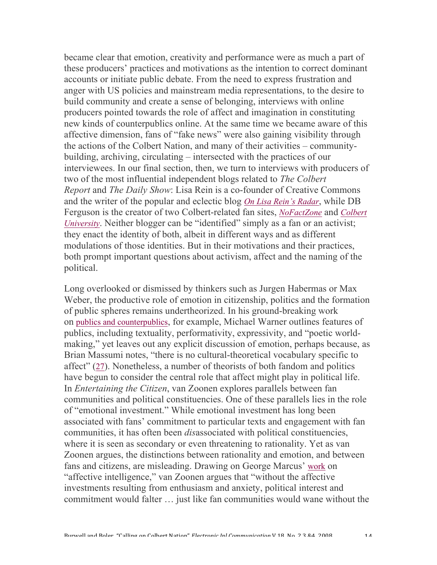became clear that emotion, creativity and performance were as much a part of these producers' practices and motivations as the intention to correct dominant accounts or initiate public debate. From the need to express frustration and anger with US policies and mainstream media representations, to the desire to build community and create a sense of belonging, interviews with online producers pointed towards the role of affect and imagination in constituting new kinds of counterpublics online. At the same time we became aware of this affective dimension, fans of "fake news" were also gaining visibility through the actions of the Colbert Nation, and many of their activities – communitybuilding, archiving, circulating – intersected with the practices of our interviewees. In our final section, then, we turn to interviews with producers of two of the most influential independent blogs related to *The Colbert Report* and *The Daily Show*: Lisa Rein is a co-founder of Creative Commons and the writer of the popular and eclectic blog *On Lisa Rein's Radar*, while DB Ferguson is the creator of two Colbert-related fan sites, *NoFactZone* and *Colbert University*. Neither blogger can be "identified" simply as a fan or an activist; they enact the identity of both, albeit in different ways and as different modulations of those identities. But in their motivations and their practices, both prompt important questions about activism, affect and the naming of the political.

Long overlooked or dismissed by thinkers such as Jurgen Habermas or Max Weber, the productive role of emotion in citizenship, politics and the formation of public spheres remains undertheorized. In his ground-breaking work on publics and counterpublics, for example, Michael Warner outlines features of publics, including textuality, performativity, expressivity, and "poetic worldmaking," yet leaves out any explicit discussion of emotion, perhaps because, as Brian Massumi notes, "there is no cultural-theoretical vocabulary specific to affect" (27). Nonetheless, a number of theorists of both fandom and politics have begun to consider the central role that affect might play in political life. In *Entertaining the Citizen*, van Zoonen explores parallels between fan communities and political constituencies. One of these parallels lies in the role of "emotional investment." While emotional investment has long been associated with fans' commitment to particular texts and engagement with fan communities, it has often been *dis*associated with political constituencies, where it is seen as secondary or even threatening to rationality. Yet as van Zoonen argues, the distinctions between rationality and emotion, and between fans and citizens, are misleading. Drawing on George Marcus' work on "affective intelligence," van Zoonen argues that "without the affective investments resulting from enthusiasm and anxiety, political interest and commitment would falter … just like fan communities would wane without the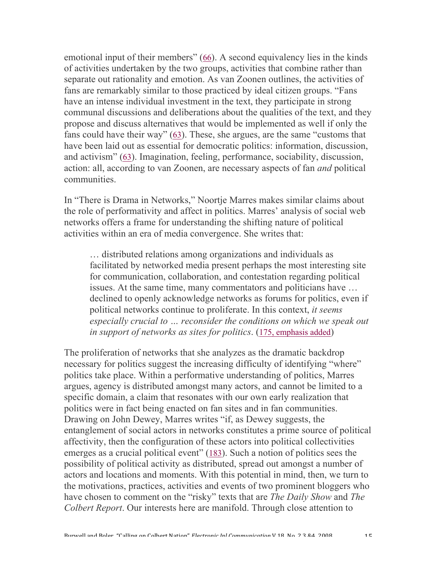emotional input of their members" (66). A second equivalency lies in the kinds of activities undertaken by the two groups, activities that combine rather than separate out rationality and emotion. As van Zoonen outlines, the activities of fans are remarkably similar to those practiced by ideal citizen groups. "Fans have an intense individual investment in the text, they participate in strong communal discussions and deliberations about the qualities of the text, and they propose and discuss alternatives that would be implemented as well if only the fans could have their way" (63). These, she argues, are the same "customs that have been laid out as essential for democratic politics: information, discussion, and activism" (63). Imagination, feeling, performance, sociability, discussion, action: all, according to van Zoonen, are necessary aspects of fan *and* political communities.

In "There is Drama in Networks," Noortje Marres makes similar claims about the role of performativity and affect in politics. Marres' analysis of social web networks offers a frame for understanding the shifting nature of political activities within an era of media convergence. She writes that:

… distributed relations among organizations and individuals as facilitated by networked media present perhaps the most interesting site for communication, collaboration, and contestation regarding political issues. At the same time, many commentators and politicians have … declined to openly acknowledge networks as forums for politics, even if political networks continue to proliferate. In this context, *it seems especially crucial to … reconsider the conditions on which we speak out in support of networks as sites for politics*. (175, emphasis added)

The proliferation of networks that she analyzes as the dramatic backdrop necessary for politics suggest the increasing difficulty of identifying "where" politics take place. Within a performative understanding of politics, Marres argues, agency is distributed amongst many actors, and cannot be limited to a specific domain, a claim that resonates with our own early realization that politics were in fact being enacted on fan sites and in fan communities. Drawing on John Dewey, Marres writes "if, as Dewey suggests, the entanglement of social actors in networks constitutes a prime source of political affectivity, then the configuration of these actors into political collectivities emerges as a crucial political event" (183). Such a notion of politics sees the possibility of political activity as distributed, spread out amongst a number of actors and locations and moments. With this potential in mind, then, we turn to the motivations, practices, activities and events of two prominent bloggers who have chosen to comment on the "risky" texts that are *The Daily Show* and *The Colbert Report*. Our interests here are manifold. Through close attention to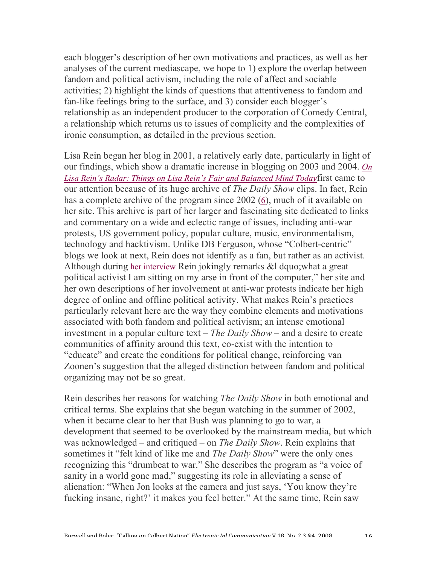each blogger's description of her own motivations and practices, as well as her analyses of the current mediascape, we hope to 1) explore the overlap between fandom and political activism, including the role of affect and sociable activities; 2) highlight the kinds of questions that attentiveness to fandom and fan-like feelings bring to the surface, and 3) consider each blogger's relationship as an independent producer to the corporation of Comedy Central, a relationship which returns us to issues of complicity and the complexities of ironic consumption, as detailed in the previous section.

Lisa Rein began her blog in 2001, a relatively early date, particularly in light of our findings, which show a dramatic increase in blogging on 2003 and 2004. *On Lisa Rein's Radar: Things on Lisa Rein's Fair and Balanced Mind Today*first came to our attention because of its huge archive of *The Daily Show* clips. In fact, Rein has a complete archive of the program since 2002 (6), much of it available on her site. This archive is part of her larger and fascinating site dedicated to links and commentary on a wide and eclectic range of issues, including anti-war protests, US government policy, popular culture, music, environmentalism, technology and hacktivism. Unlike DB Ferguson, whose "Colbert-centric" blogs we look at next, Rein does not identify as a fan, but rather as an activist. Although during her interview Rein jokingly remarks &l dquo;what a great political activist I am sitting on my arse in front of the computer," her site and her own descriptions of her involvement at anti-war protests indicate her high degree of online and offline political activity. What makes Rein's practices particularly relevant here are the way they combine elements and motivations associated with both fandom and political activism; an intense emotional investment in a popular culture text – *The Daily Show* – and a desire to create communities of affinity around this text, co-exist with the intention to "educate" and create the conditions for political change, reinforcing van Zoonen's suggestion that the alleged distinction between fandom and political organizing may not be so great.

Rein describes her reasons for watching *The Daily Show* in both emotional and critical terms. She explains that she began watching in the summer of 2002, when it became clear to her that Bush was planning to go to war, a development that seemed to be overlooked by the mainstream media, but which was acknowledged – and critiqued – on *The Daily Show*. Rein explains that sometimes it "felt kind of like me and *The Daily Show*" were the only ones recognizing this "drumbeat to war." She describes the program as "a voice of sanity in a world gone mad," suggesting its role in alleviating a sense of alienation: "When Jon looks at the camera and just says, 'You know they're fucking insane, right?' it makes you feel better." At the same time, Rein saw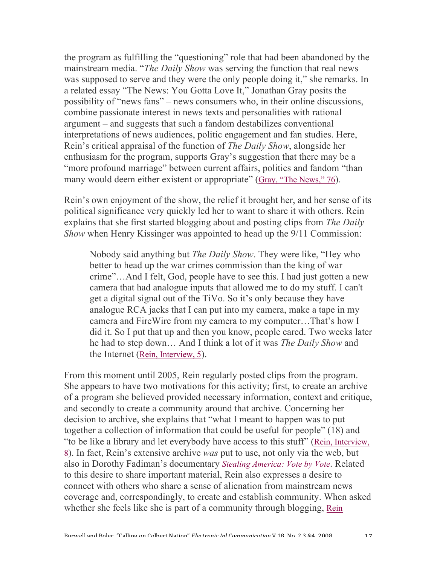the program as fulfilling the "questioning" role that had been abandoned by the mainstream media. "*The Daily Show* was serving the function that real news was supposed to serve and they were the only people doing it," she remarks. In a related essay "The News: You Gotta Love It," Jonathan Gray posits the possibility of "news fans" – news consumers who, in their online discussions, combine passionate interest in news texts and personalities with rational argument – and suggests that such a fandom destabilizes conventional interpretations of news audiences, politic engagement and fan studies. Here, Rein's critical appraisal of the function of *The Daily Show*, alongside her enthusiasm for the program, supports Gray's suggestion that there may be a "more profound marriage" between current affairs, politics and fandom "than many would deem either existent or appropriate" (Gray, "The News," 76).

Rein's own enjoyment of the show, the relief it brought her, and her sense of its political significance very quickly led her to want to share it with others. Rein explains that she first started blogging about and posting clips from *The Daily Show* when Henry Kissinger was appointed to head up the 9/11 Commission:

Nobody said anything but *The Daily Show*. They were like, "Hey who better to head up the war crimes commission than the king of war crime"…And I felt, God, people have to see this. I had just gotten a new camera that had analogue inputs that allowed me to do my stuff. I can't get a digital signal out of the TiVo. So it's only because they have analogue RCA jacks that I can put into my camera, make a tape in my camera and FireWire from my camera to my computer…That's how I did it. So I put that up and then you know, people cared. Two weeks later he had to step down… And I think a lot of it was *The Daily Show* and the Internet (Rein, Interview, 5).

From this moment until 2005, Rein regularly posted clips from the program. She appears to have two motivations for this activity; first, to create an archive of a program she believed provided necessary information, context and critique, and secondly to create a community around that archive. Concerning her decision to archive, she explains that "what I meant to happen was to put together a collection of information that could be useful for people" (18) and "to be like a library and let everybody have access to this stuff" (Rein, Interview, 8). In fact, Rein's extensive archive *was* put to use, not only via the web, but also in Dorothy Fadiman's documentary *Stealing America: Vote by Vote*. Related to this desire to share important material, Rein also expresses a desire to connect with others who share a sense of alienation from mainstream news coverage and, correspondingly, to create and establish community. When asked whether she feels like she is part of a community through blogging, Rein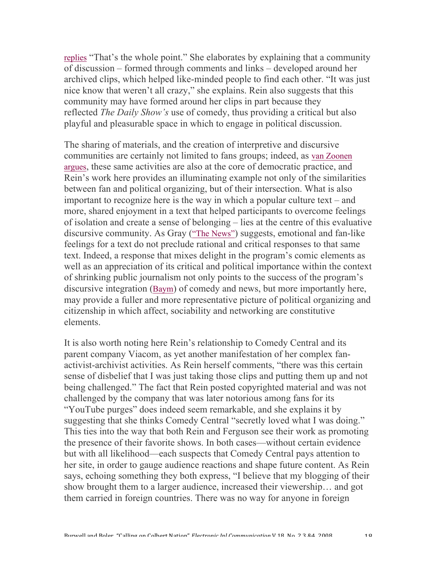replies "That's the whole point." She elaborates by explaining that a community of discussion – formed through comments and links – developed around her archived clips, which helped like-minded people to find each other. "It was just nice know that weren't all crazy," she explains. Rein also suggests that this community may have formed around her clips in part because they reflected *The Daily Show's* use of comedy, thus providing a critical but also playful and pleasurable space in which to engage in political discussion.

The sharing of materials, and the creation of interpretive and discursive communities are certainly not limited to fans groups; indeed, as van Zoonen argues, these same activities are also at the core of democratic practice, and Rein's work here provides an illuminating example not only of the similarities between fan and political organizing, but of their intersection. What is also important to recognize here is the way in which a popular culture text – and more, shared enjoyment in a text that helped participants to overcome feelings of isolation and create a sense of belonging – lies at the centre of this evaluative discursive community. As Gray ("The News") suggests, emotional and fan-like feelings for a text do not preclude rational and critical responses to that same text. Indeed, a response that mixes delight in the program's comic elements as well as an appreciation of its critical and political importance within the context of shrinking public journalism not only points to the success of the program's discursive integration (Baym) of comedy and news, but more importantly here, may provide a fuller and more representative picture of political organizing and citizenship in which affect, sociability and networking are constitutive elements.

It is also worth noting here Rein's relationship to Comedy Central and its parent company Viacom, as yet another manifestation of her complex fanactivist-archivist activities. As Rein herself comments, "there was this certain sense of disbelief that I was just taking those clips and putting them up and not being challenged." The fact that Rein posted copyrighted material and was not challenged by the company that was later notorious among fans for its "YouTube purges" does indeed seem remarkable, and she explains it by suggesting that she thinks Comedy Central "secretly loved what I was doing." This ties into the way that both Rein and Ferguson see their work as promoting the presence of their favorite shows. In both cases—without certain evidence but with all likelihood—each suspects that Comedy Central pays attention to her site, in order to gauge audience reactions and shape future content. As Rein says, echoing something they both express, "I believe that my blogging of their show brought them to a larger audience, increased their viewership… and got them carried in foreign countries. There was no way for anyone in foreign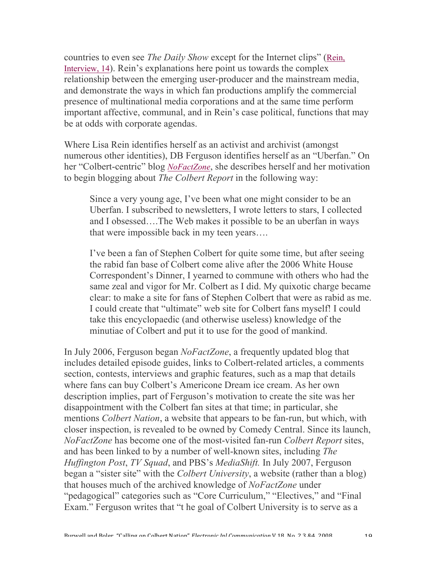countries to even see *The Daily Show* except for the Internet clips" (Rein, Interview, 14). Rein's explanations here point us towards the complex relationship between the emerging user-producer and the mainstream media, and demonstrate the ways in which fan productions amplify the commercial presence of multinational media corporations and at the same time perform important affective, communal, and in Rein's case political, functions that may be at odds with corporate agendas.

Where Lisa Rein identifies herself as an activist and archivist (amongst numerous other identities), DB Ferguson identifies herself as an "Uberfan." On her "Colbert-centric" blog *NoFactZone*, she describes herself and her motivation to begin blogging about *The Colbert Report* in the following way:

Since a very young age, I've been what one might consider to be an Uberfan. I subscribed to newsletters, I wrote letters to stars, I collected and I obsessed….The Web makes it possible to be an uberfan in ways that were impossible back in my teen years….

I've been a fan of Stephen Colbert for quite some time, but after seeing the rabid fan base of Colbert come alive after the 2006 White House Correspondent's Dinner, I yearned to commune with others who had the same zeal and vigor for Mr. Colbert as I did. My quixotic charge became clear: to make a site for fans of Stephen Colbert that were as rabid as me. I could create that "ultimate" web site for Colbert fans myself! I could take this encyclopaedic (and otherwise useless) knowledge of the minutiae of Colbert and put it to use for the good of mankind.

In July 2006, Ferguson began *NoFactZone*, a frequently updated blog that includes detailed episode guides, links to Colbert-related articles, a comments section, contests, interviews and graphic features, such as a map that details where fans can buy Colbert's Americone Dream ice cream. As her own description implies, part of Ferguson's motivation to create the site was her disappointment with the Colbert fan sites at that time; in particular, she mentions *Colbert Nation*, a website that appears to be fan-run, but which, with closer inspection, is revealed to be owned by Comedy Central. Since its launch, *NoFactZone* has become one of the most-visited fan-run *Colbert Report* sites, and has been linked to by a number of well-known sites, including *The Huffington Post*, *TV Squad*, and PBS's *MediaShift.* In July 2007, Ferguson began a "sister site" with the *Colbert University*, a website (rather than a blog) that houses much of the archived knowledge of *NoFactZone* under "pedagogical" categories such as "Core Curriculum," "Electives," and "Final Exam." Ferguson writes that "t he goal of Colbert University is to serve as a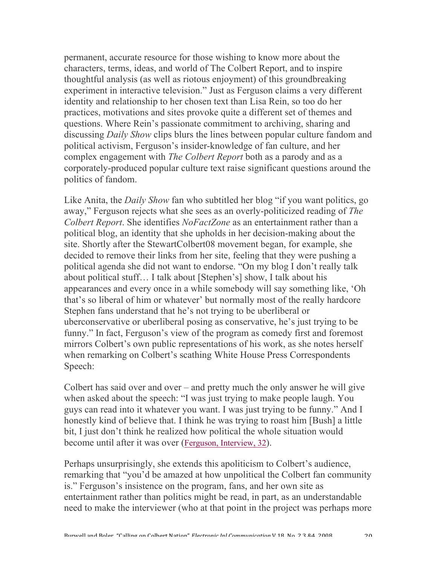permanent, accurate resource for those wishing to know more about the characters, terms, ideas, and world of The Colbert Report, and to inspire thoughtful analysis (as well as riotous enjoyment) of this groundbreaking experiment in interactive television." Just as Ferguson claims a very different identity and relationship to her chosen text than Lisa Rein, so too do her practices, motivations and sites provoke quite a different set of themes and questions. Where Rein's passionate commitment to archiving, sharing and discussing *Daily Show* clips blurs the lines between popular culture fandom and political activism, Ferguson's insider-knowledge of fan culture, and her complex engagement with *The Colbert Report* both as a parody and as a corporately-produced popular culture text raise significant questions around the politics of fandom.

Like Anita, the *Daily Show* fan who subtitled her blog "if you want politics, go away," Ferguson rejects what she sees as an overly-politicized reading of *The Colbert Report*. She identifies *NoFactZone* as an entertainment rather than a political blog, an identity that she upholds in her decision-making about the site. Shortly after the StewartColbert08 movement began, for example, she decided to remove their links from her site, feeling that they were pushing a political agenda she did not want to endorse. "On my blog I don't really talk about political stuff… I talk about [Stephen's] show, I talk about his appearances and every once in a while somebody will say something like, 'Oh that's so liberal of him or whatever' but normally most of the really hardcore Stephen fans understand that he's not trying to be uberliberal or uberconservative or uberliberal posing as conservative, he's just trying to be funny." In fact, Ferguson's view of the program as comedy first and foremost mirrors Colbert's own public representations of his work, as she notes herself when remarking on Colbert's scathing White House Press Correspondents Speech:

Colbert has said over and over – and pretty much the only answer he will give when asked about the speech: "I was just trying to make people laugh. You guys can read into it whatever you want. I was just trying to be funny." And I honestly kind of believe that. I think he was trying to roast him [Bush] a little bit, I just don't think he realized how political the whole situation would become until after it was over (Ferguson, Interview, 32).

Perhaps unsurprisingly, she extends this apoliticism to Colbert's audience, remarking that "you'd be amazed at how unpolitical the Colbert fan community is." Ferguson's insistence on the program, fans, and her own site as entertainment rather than politics might be read, in part, as an understandable need to make the interviewer (who at that point in the project was perhaps more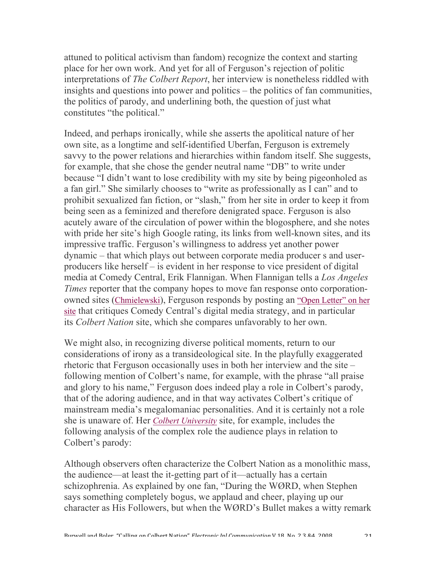attuned to political activism than fandom) recognize the context and starting place for her own work. And yet for all of Ferguson's rejection of politic interpretations of *The Colbert Report*, her interview is nonetheless riddled with insights and questions into power and politics – the politics of fan communities, the politics of parody, and underlining both, the question of just what constitutes "the political."

Indeed, and perhaps ironically, while she asserts the apolitical nature of her own site, as a longtime and self-identified Uberfan, Ferguson is extremely savvy to the power relations and hierarchies within fandom itself. She suggests, for example, that she chose the gender neutral name "DB" to write under because "I didn't want to lose credibility with my site by being pigeonholed as a fan girl." She similarly chooses to "write as professionally as I can" and to prohibit sexualized fan fiction, or "slash," from her site in order to keep it from being seen as a feminized and therefore denigrated space. Ferguson is also acutely aware of the circulation of power within the blogosphere, and she notes with pride her site's high Google rating, its links from well-known sites, and its impressive traffic. Ferguson's willingness to address yet another power dynamic – that which plays out between corporate media producer s and userproducers like herself – is evident in her response to vice president of digital media at Comedy Central, Erik Flannigan. When Flannigan tells a *Los Angeles Times* reporter that the company hopes to move fan response onto corporationowned sites (Chmielewski), Ferguson responds by posting an "Open Letter" on her site that critiques Comedy Central's digital media strategy, and in particular its *Colbert Nation* site, which she compares unfavorably to her own.

We might also, in recognizing diverse political moments, return to our considerations of irony as a transideological site. In the playfully exaggerated rhetoric that Ferguson occasionally uses in both her interview and the site – following mention of Colbert's name, for example, with the phrase "all praise and glory to his name," Ferguson does indeed play a role in Colbert's parody, that of the adoring audience, and in that way activates Colbert's critique of mainstream media's megalomaniac personalities. And it is certainly not a role she is unaware of. Her *Colbert University* site, for example, includes the following analysis of the complex role the audience plays in relation to Colbert's parody:

Although observers often characterize the Colbert Nation as a monolithic mass, the audience—at least the it-getting part of it—actually has a certain schizophrenia. As explained by one fan, "During the WØRD, when Stephen says something completely bogus, we applaud and cheer, playing up our character as His Followers, but when the WØRD's Bullet makes a witty remark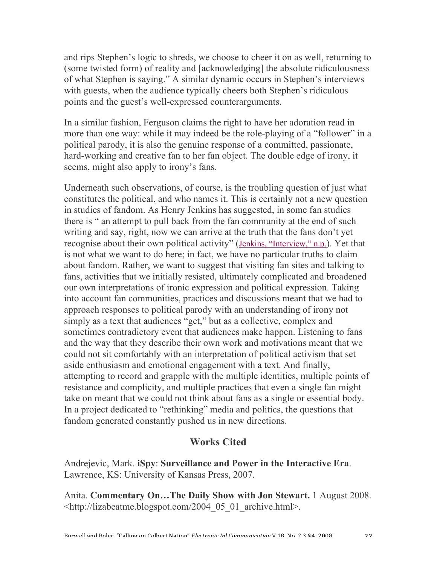and rips Stephen's logic to shreds, we choose to cheer it on as well, returning to (some twisted form) of reality and [acknowledging] the absolute ridiculousness of what Stephen is saying." A similar dynamic occurs in Stephen's interviews with guests, when the audience typically cheers both Stephen's ridiculous points and the guest's well-expressed counterarguments.

In a similar fashion, Ferguson claims the right to have her adoration read in more than one way: while it may indeed be the role-playing of a "follower" in a political parody, it is also the genuine response of a committed, passionate, hard-working and creative fan to her fan object. The double edge of irony, it seems, might also apply to irony's fans.

Underneath such observations, of course, is the troubling question of just what constitutes the political, and who names it. This is certainly not a new question in studies of fandom. As Henry Jenkins has suggested, in some fan studies there is " an attempt to pull back from the fan community at the end of such writing and say, right, now we can arrive at the truth that the fans don't yet recognise about their own political activity" (Jenkins, "Interview," n.p.). Yet that is not what we want to do here; in fact, we have no particular truths to claim about fandom. Rather, we want to suggest that visiting fan sites and talking to fans, activities that we initially resisted, ultimately complicated and broadened our own interpretations of ironic expression and political expression. Taking into account fan communities, practices and discussions meant that we had to approach responses to political parody with an understanding of irony not simply as a text that audiences "get," but as a collective, complex and sometimes contradictory event that audiences make happen. Listening to fans and the way that they describe their own work and motivations meant that we could not sit comfortably with an interpretation of political activism that set aside enthusiasm and emotional engagement with a text. And finally, attempting to record and grapple with the multiple identities, multiple points of resistance and complicity, and multiple practices that even a single fan might take on meant that we could not think about fans as a single or essential body. In a project dedicated to "rethinking" media and politics, the questions that fandom generated constantly pushed us in new directions.

## **Works Cited**

Andrejevic, Mark. **iSpy**: **Surveillance and Power in the Interactive Era**. Lawrence, KS: University of Kansas Press, 2007.

Anita. **Commentary On…The Daily Show with Jon Stewart.** 1 August 2008. <http://lizabeatme.blogspot.com/2004\_05\_01\_archive.html>.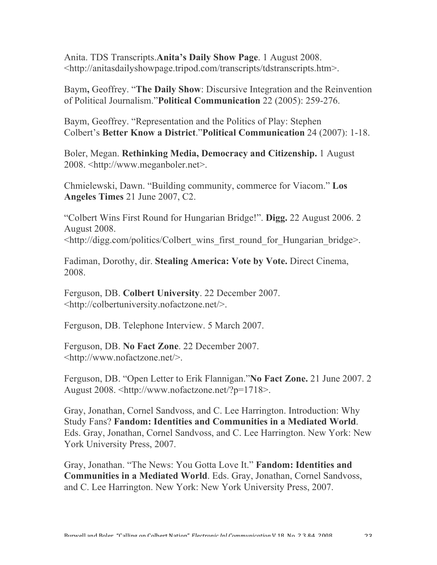Anita. TDS Transcripts.**Anita's Daily Show Page**. 1 August 2008. <http://anitasdailyshowpage.tripod.com/transcripts/tdstranscripts.htm>.

Baym**,** Geoffrey. "**The Daily Show**: Discursive Integration and the Reinvention of Political Journalism."**Political Communication** 22 (2005): 259-276.

Baym, Geoffrey. "Representation and the Politics of Play: Stephen Colbert's **Better Know a District**."**Political Communication** 24 (2007): 1-18.

Boler, Megan. **Rethinking Media, Democracy and Citizenship.** 1 August 2008. <http://www.meganboler.net>.

Chmielewski, Dawn. "Building community, commerce for Viacom." **Los Angeles Times** 21 June 2007, C2.

"Colbert Wins First Round for Hungarian Bridge!". **Digg.** 22 August 2006. 2 August 2008.

<http://digg.com/politics/Colbert\_wins\_first\_round\_for\_Hungarian\_bridge>.

Fadiman, Dorothy, dir. **Stealing America: Vote by Vote.** Direct Cinema, 2008.

Ferguson, DB. **Colbert University**. 22 December 2007. <http://colbertuniversity.nofactzone.net/>.

Ferguson, DB. Telephone Interview. 5 March 2007.

Ferguson, DB. **No Fact Zone**. 22 December 2007. <http://www.nofactzone.net/>.

Ferguson, DB. "Open Letter to Erik Flannigan."**No Fact Zone.** 21 June 2007. 2 August 2008. <http://www.nofactzone.net/?p=1718>.

Gray, Jonathan, Cornel Sandvoss, and C. Lee Harrington. Introduction: Why Study Fans? **Fandom: Identities and Communities in a Mediated World**. Eds. Gray, Jonathan, Cornel Sandvoss, and C. Lee Harrington. New York: New York University Press, 2007.

Gray, Jonathan. "The News: You Gotta Love It." **Fandom: Identities and Communities in a Mediated World**. Eds. Gray, Jonathan, Cornel Sandvoss, and C. Lee Harrington. New York: New York University Press, 2007.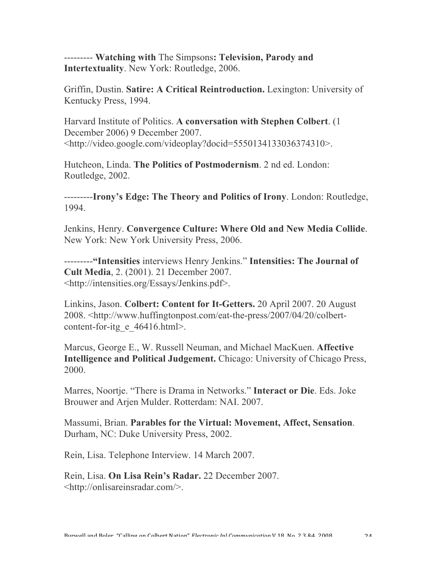--------- **Watching with** The Simpsons**: Television, Parody and Intertextuality**. New York: Routledge, 2006.

Griffin, Dustin. **Satire: A Critical Reintroduction.** Lexington: University of Kentucky Press, 1994.

Harvard Institute of Politics. **A conversation with Stephen Colbert**. (1 December 2006) 9 December 2007. <http://video.google.com/videoplay?docid=5550134133036374310>.

Hutcheon, Linda. **The Politics of Postmodernism**. 2 nd ed. London: Routledge, 2002.

---------**Irony's Edge: The Theory and Politics of Irony**. London: Routledge, 1994.

Jenkins, Henry. **Convergence Culture: Where Old and New Media Collide**. New York: New York University Press, 2006.

---------**"Intensities** interviews Henry Jenkins." **Intensities: The Journal of Cult Media**, 2. (2001). 21 December 2007. <http://intensities.org/Essays/Jenkins.pdf>.

Linkins, Jason. **Colbert: Content for It-Getters.** 20 April 2007. 20 August 2008. <http://www.huffingtonpost.com/eat-the-press/2007/04/20/colbertcontent-for-itg e 46416.html>.

Marcus, George E., W. Russell Neuman, and Michael MacKuen. **Affective Intelligence and Political Judgement.** Chicago: University of Chicago Press, 2000.

Marres, Noortje. "There is Drama in Networks." **Interact or Die**. Eds. Joke Brouwer and Arjen Mulder. Rotterdam: NAI. 2007.

Massumi, Brian. **Parables for the Virtual: Movement, Affect, Sensation**. Durham, NC: Duke University Press, 2002.

Rein, Lisa. Telephone Interview. 14 March 2007.

Rein, Lisa. **On Lisa Rein's Radar.** 22 December 2007. <http://onlisareinsradar.com/>.